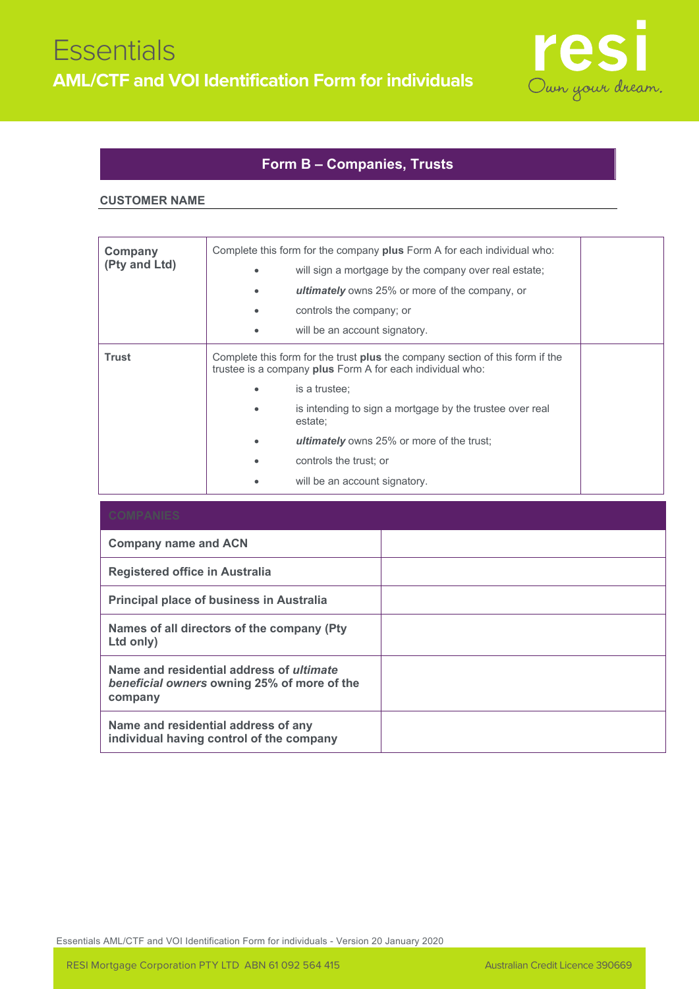

## **Form B – Companies, Trusts**

## **CUSTOMER NAME**

| Company<br>(Pty and Ltd) | Complete this form for the company plus Form A for each individual who:<br>will sign a mortgage by the company over real estate;<br><b>ultimately</b> owns 25% or more of the company, or<br>controls the company; or<br>will be an account signatory.                                                                                                   |  |
|--------------------------|----------------------------------------------------------------------------------------------------------------------------------------------------------------------------------------------------------------------------------------------------------------------------------------------------------------------------------------------------------|--|
| <b>Trust</b>             | Complete this form for the trust <b>plus</b> the company section of this form if the<br>trustee is a company plus Form A for each individual who:<br>is a trustee:<br>is intending to sign a mortgage by the trustee over real<br>estate;<br><b>ultimately</b> owns 25% or more of the trust;<br>controls the trust; or<br>will be an account signatory. |  |

| <b>Company name and ACN</b>                                                                               |  |
|-----------------------------------------------------------------------------------------------------------|--|
| Registered office in Australia                                                                            |  |
| <b>Principal place of business in Australia</b>                                                           |  |
| Names of all directors of the company (Pty)<br>Ltd only)                                                  |  |
| Name and residential address of <i>ultimate</i><br>beneficial owners owning 25% of more of the<br>company |  |
| Name and residential address of any<br>individual having control of the company                           |  |